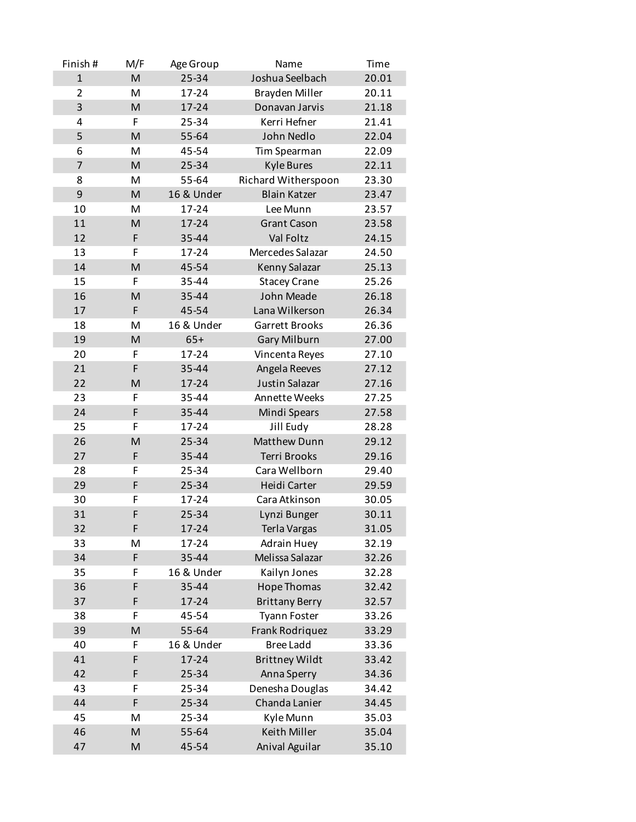| Finish#        | M/F | Age Group  | Name                  | Time  |
|----------------|-----|------------|-----------------------|-------|
| $\mathbf{1}$   | M   | 25-34      | Joshua Seelbach       | 20.01 |
| $\overline{2}$ | M   | 17-24      | Brayden Miller        | 20.11 |
| 3              | M   | 17-24      | Donavan Jarvis        | 21.18 |
| 4              | F   | 25-34      | Kerri Hefner          | 21.41 |
| 5              | M   | 55-64      | John Nedlo            | 22.04 |
| 6              | M   | 45-54      | Tim Spearman          | 22.09 |
| $\overline{7}$ | M   | 25-34      | <b>Kyle Bures</b>     | 22.11 |
| 8              | M   | 55-64      | Richard Witherspoon   | 23.30 |
| 9              | M   | 16 & Under | <b>Blain Katzer</b>   | 23.47 |
| 10             | M   | 17-24      | Lee Munn              | 23.57 |
| 11             | M   | 17-24      | <b>Grant Cason</b>    | 23.58 |
| 12             | F   | 35-44      | Val Foltz             | 24.15 |
| 13             | F   | 17-24      | Mercedes Salazar      | 24.50 |
| 14             | M   | 45-54      | Kenny Salazar         | 25.13 |
| 15             | F   | 35-44      | <b>Stacey Crane</b>   | 25.26 |
| 16             | M   | 35-44      | John Meade            | 26.18 |
| 17             | F   | 45-54      | Lana Wilkerson        | 26.34 |
| 18             | M   | 16 & Under | Garrett Brooks        | 26.36 |
| 19             | M   | $65+$      | <b>Gary Milburn</b>   | 27.00 |
| 20             | F   | 17-24      | Vincenta Reyes        | 27.10 |
| 21             | F   | 35-44      | Angela Reeves         | 27.12 |
| 22             | M   | 17-24      | <b>Justin Salazar</b> | 27.16 |
| 23             | F   | 35-44      | Annette Weeks         | 27.25 |
| 24             | F   | 35-44      | Mindi Spears          | 27.58 |
| 25             | F   | 17-24      | Jill Eudy             | 28.28 |
| 26             | M   | 25-34      | Matthew Dunn          | 29.12 |
| 27             | F   | 35-44      | <b>Terri Brooks</b>   | 29.16 |
| 28             | F   | 25-34      | Cara Wellborn         | 29.40 |
| 29             | F   | 25-34      | Heidi Carter          | 29.59 |
| 30             | F   | 17-24      | Cara Atkinson         | 30.05 |
| 31             | F   | 25-34      | Lynzi Bunger          | 30.11 |
| 32             | F   | 17-24      | Terla Vargas          | 31.05 |
| 33             | M   | 17-24      | <b>Adrain Huey</b>    | 32.19 |
| 34             | F   | 35-44      | Melissa Salazar       | 32.26 |
| 35             | F   | 16 & Under | Kailyn Jones          | 32.28 |
| 36             | F   | 35-44      | Hope Thomas           | 32.42 |
| 37             | F   | 17-24      | <b>Brittany Berry</b> | 32.57 |
| 38             | F   | 45-54      | <b>Tyann Foster</b>   | 33.26 |
| 39             | M   | 55-64      | Frank Rodriquez       | 33.29 |
| 40             | F   | 16 & Under | <b>Bree Ladd</b>      | 33.36 |
| 41             | F   | 17-24      | <b>Brittney Wildt</b> | 33.42 |
| 42             | F   | 25-34      | Anna Sperry           | 34.36 |
| 43             | F   | 25-34      | Denesha Douglas       | 34.42 |
| 44             | F   | 25-34      | Chanda Lanier         | 34.45 |
| 45             | M   | 25-34      | Kyle Munn             | 35.03 |
| 46             | M   | 55-64      | Keith Miller          | 35.04 |
| 47             | M   | 45-54      | Anival Aguilar        | 35.10 |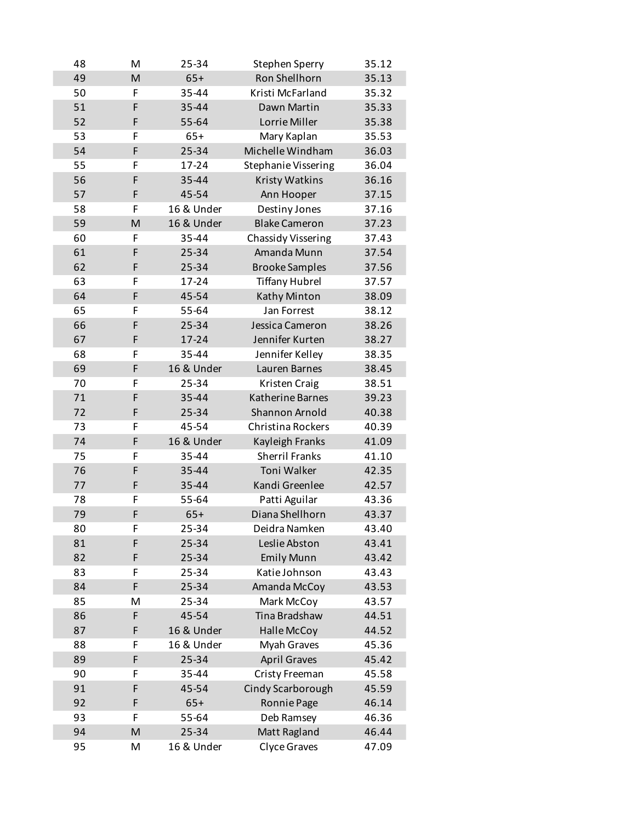| 48 | M | 25-34      | Stephen Sperry             | 35.12 |
|----|---|------------|----------------------------|-------|
| 49 | M | $65+$      | Ron Shellhorn              | 35.13 |
| 50 | F | 35-44      | Kristi McFarland           | 35.32 |
| 51 | F | 35-44      | Dawn Martin                | 35.33 |
| 52 | F | 55-64      | Lorrie Miller              | 35.38 |
| 53 | F | $65+$      | Mary Kaplan                | 35.53 |
| 54 | F | 25-34      | Michelle Windham           | 36.03 |
| 55 | F | 17-24      | <b>Stephanie Vissering</b> | 36.04 |
| 56 | F | 35-44      | Kristy Watkins             | 36.16 |
| 57 | F | 45-54      | Ann Hooper                 | 37.15 |
| 58 | F | 16 & Under | Destiny Jones              | 37.16 |
| 59 | M | 16 & Under | <b>Blake Cameron</b>       | 37.23 |
| 60 | F | 35-44      | Chassidy Vissering         | 37.43 |
| 61 | F | 25-34      | Amanda Munn                | 37.54 |
| 62 | F | 25-34      | <b>Brooke Samples</b>      | 37.56 |
| 63 | F | 17-24      | <b>Tiffany Hubrel</b>      | 37.57 |
| 64 | F | 45-54      | Kathy Minton               | 38.09 |
| 65 | F | 55-64      | Jan Forrest                | 38.12 |
| 66 | F | 25-34      | Jessica Cameron            | 38.26 |
| 67 | F | 17-24      | Jennifer Kurten            |       |
|    | F |            |                            | 38.27 |
| 68 | F | 35-44      | Jennifer Kelley            | 38.35 |
| 69 |   | 16 & Under | Lauren Barnes              | 38.45 |
| 70 | F | 25-34      | Kristen Craig              | 38.51 |
| 71 | F | 35-44      | Katherine Barnes           | 39.23 |
| 72 | F | 25-34      | Shannon Arnold             | 40.38 |
| 73 | F | 45-54      | Christina Rockers          | 40.39 |
| 74 | F | 16 & Under | Kayleigh Franks            | 41.09 |
| 75 | F | 35-44      | <b>Sherril Franks</b>      | 41.10 |
| 76 | F | 35-44      | Toni Walker                | 42.35 |
| 77 | F | 35-44      | Kandi Greenlee             | 42.57 |
| 78 | F | 55-64      | Patti Aguilar              | 43.36 |
| 79 | F | $65+$      | Diana Shellhorn            | 43.37 |
| 80 | F | 25-34      | Deidra Namken              | 43.40 |
| 81 | F | 25-34      | Leslie Abston              | 43.41 |
| 82 | F | 25-34      | <b>Emily Munn</b>          | 43.42 |
| 83 | F | 25-34      | Katie Johnson              | 43.43 |
| 84 | F | 25-34      | Amanda McCoy               | 43.53 |
| 85 | Μ | 25-34      | Mark McCoy                 | 43.57 |
| 86 | F | 45-54      | Tina Bradshaw              | 44.51 |
| 87 | F | 16 & Under | Halle McCoy                | 44.52 |
| 88 | F | 16 & Under | Myah Graves                | 45.36 |
| 89 | F | 25-34      | <b>April Graves</b>        | 45.42 |
| 90 | F | 35-44      | Cristy Freeman             | 45.58 |
| 91 | F | 45-54      | <b>Cindy Scarborough</b>   | 45.59 |
| 92 | F | $65+$      | Ronnie Page                | 46.14 |
| 93 | F | 55-64      | Deb Ramsey                 | 46.36 |
| 94 | M | 25-34      | Matt Ragland               | 46.44 |
| 95 | M | 16 & Under | Clyce Graves               | 47.09 |
|    |   |            |                            |       |